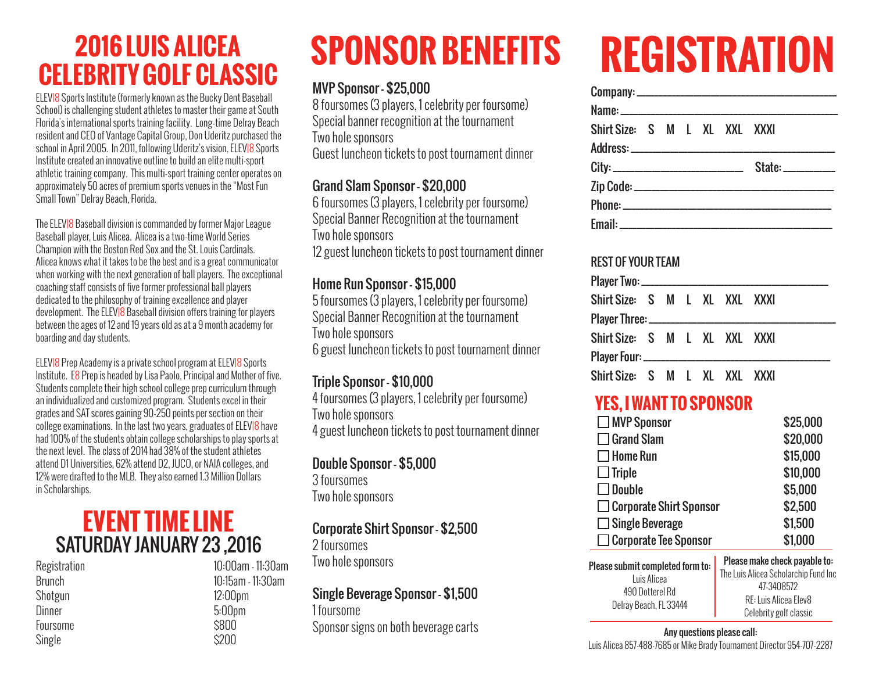# **2016 LUIS ALICEA SPONSOR BENEFITS CELEBRITY GOLF CLASSIC**

ELEV|8 Sports Institute (formerly known as the Bucky Dent Baseball School) is challenging student athletes to master their game at South Florida's international sports training facility. Long-time Delray Beach resident and CEO of Vantage Capital Group, Don Uderitz purchased the school in April 2005. In 2011, following Uderitz's vision, ELEVI8 Sports Institute created an innovative outline to build an elite multi-sport athletic training company. This multi-sport training center operates on approximately 50 acres of premium sports venues in the "Most Fun Small Town" Delray Beach, Florida.

The ELEV|8 Baseball division is commanded by former Major League Baseball player, Luis Alicea. Alicea is a two-time World Series Champion with the Boston Red Sox and the St. Louis Cardinals. Alicea knows what it takes to be the best and is a great communicator when working with the next generation of ball players. The exceptional coaching staff consists of five former professional ball players dedicated to the philosophy of training excellence and player development. The ELEVI8 Baseball division offers training for players between the ages of 12 and 19 years old as at a 9 month academy for boarding and day students.

ELEV|8 Prep Academy is a private school program at ELEV|8 Sports Institute. E8 Prep is headed by Lisa Paolo, Principal and Mother of five. Students complete their high school college prep curriculum through an individualized and customized program. Students excel in their grades and SAT scores gaining 90-250 points per section on their college examinations. In the last two years, graduates of ELEVI8 have had 100% of the students obtain college scholarships to play sports at the next level. The class of 2014 had 38% of the student athletes attend D1 Universities, 62% attend D2, JUCO, or NAIA colleges, and 12% were drafted to the MLB. They also earned 1.3 Million Dollars in Scholarships.

### **EVENT TIME LINE** SATURDAY JANUARY 23 ,2016

Registration Brunch Shotgun **Dinner** Foursome Single

10:00am - 11:30am 10:15am - 11:30am 12:00pm 5:00pm \$800 \$200

#### MVP Sponsor - \$25,000

8 foursomes (3 players, 1 celebrity per foursome) Special banner recognition at the tournament Two hole sponsors Guest luncheon tickets to post tournament dinner

#### Grand Slam Sponsor - \$20,000

6 foursomes (3 players, 1 celebrity per foursome) Special Banner Recognition at the tournament Two hole sponsors 12 guest luncheon tickets to post tournament dinner

#### Home Run Sponsor - \$15,000

5 foursomes (3 players, 1 celebrity per foursome) Special Banner Recognition at the tournament Two hole sponsors 6 guest luncheon tickets to post tournament dinner

#### Triple Sponsor - \$10,000

4 foursomes (3 players, 1 celebrity per foursome) Two hole sponsors 4 guest luncheon tickets to post tournament dinner

#### Double Sponsor - \$5,000

3 foursomes Two hole sponsors

#### Corporate Shirt Sponsor - \$2,500

2 foursomes Two hole sponsors

#### Single Beverage Sponsor - \$1,500

1 foursome Sponsor signs on both beverage carts

# **REGISTRATION**

| Shirt Size: S M L XL XXL XXXI |  |  |  |
|-------------------------------|--|--|--|
|                               |  |  |  |
|                               |  |  |  |
|                               |  |  |  |
|                               |  |  |  |
|                               |  |  |  |

#### REST OF YOUR TEAM

| Shirt Size: S M L XL XXL XXXI |  |  |  |  |
|-------------------------------|--|--|--|--|
|                               |  |  |  |  |
| Shirt Size: S M L XL XXL XXXI |  |  |  |  |
|                               |  |  |  |  |
| Shirt Size: S M L XL XXL XXXI |  |  |  |  |

#### **YES, I WANT TO SPONSOR**

| $\Box$ MVP Sponsor                                                 | \$25,000                                                                                                     |  |  |  |
|--------------------------------------------------------------------|--------------------------------------------------------------------------------------------------------------|--|--|--|
| $\Box$ Grand Slam                                                  | \$20,000                                                                                                     |  |  |  |
| $\square$ Home Run                                                 | \$15,000                                                                                                     |  |  |  |
| $\Box$ Triple                                                      | \$10,000                                                                                                     |  |  |  |
| $\Box$ Double                                                      | \$5,000                                                                                                      |  |  |  |
| $\Box$ Corporate Shirt Sponsor                                     | \$2,500                                                                                                      |  |  |  |
| $\Box$ Single Beverage                                             | \$1,500                                                                                                      |  |  |  |
| $\Box$ Corporate Tee Sponsor                                       | \$1,000                                                                                                      |  |  |  |
| Please submit completed form to:<br>Luis Alicea<br>490 Dotterel Rd | Please make check payable to:<br>The Luis Alicea Scholarchip Fund Inc<br>47-3408572<br>RE: Luis Alicea Elev8 |  |  |  |
| Delray Beach, FL 33444                                             |                                                                                                              |  |  |  |

#### Any questions please call:

Luis Alicea 857-488-7685 or Mike Brady Tournament Director 954-707-2287

Celebrity golf classic